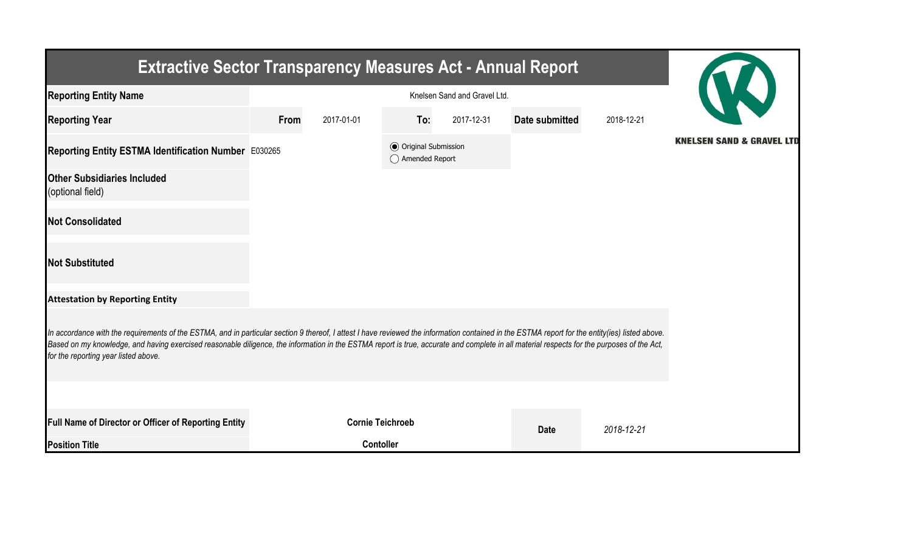| <b>Extractive Sector Transparency Measures Act - Annual Report</b>                                                                                                                                                                                                                                                                                                                                                                    |                              |                         |                                                  |            |                |            |                                      |  |  |  |
|---------------------------------------------------------------------------------------------------------------------------------------------------------------------------------------------------------------------------------------------------------------------------------------------------------------------------------------------------------------------------------------------------------------------------------------|------------------------------|-------------------------|--------------------------------------------------|------------|----------------|------------|--------------------------------------|--|--|--|
| <b>Reporting Entity Name</b>                                                                                                                                                                                                                                                                                                                                                                                                          | Knelsen Sand and Gravel Ltd. |                         |                                                  |            |                |            |                                      |  |  |  |
| <b>Reporting Year</b>                                                                                                                                                                                                                                                                                                                                                                                                                 | From                         | 2017-01-01              | To:                                              | 2017-12-31 | Date submitted | 2018-12-21 |                                      |  |  |  |
| Reporting Entity ESTMA Identification Number E030265                                                                                                                                                                                                                                                                                                                                                                                  |                              |                         | <b>◎</b> Original Submission<br>◯ Amended Report |            |                |            | <b>KNELSEN SAND &amp; GRAVEL LTD</b> |  |  |  |
| <b>Other Subsidiaries Included</b><br>(optional field)                                                                                                                                                                                                                                                                                                                                                                                |                              |                         |                                                  |            |                |            |                                      |  |  |  |
| <b>Not Consolidated</b>                                                                                                                                                                                                                                                                                                                                                                                                               |                              |                         |                                                  |            |                |            |                                      |  |  |  |
| <b>Not Substituted</b>                                                                                                                                                                                                                                                                                                                                                                                                                |                              |                         |                                                  |            |                |            |                                      |  |  |  |
| <b>Attestation by Reporting Entity</b>                                                                                                                                                                                                                                                                                                                                                                                                |                              |                         |                                                  |            |                |            |                                      |  |  |  |
| In accordance with the requirements of the ESTMA, and in particular section 9 thereof, I attest I have reviewed the information contained in the ESTMA report for the entity(ies) listed above.<br>Based on my knowledge, and having exercised reasonable diligence, the information in the ESTMA report is true, accurate and complete in all material respects for the purposes of the Act,<br>for the reporting year listed above. |                              |                         |                                                  |            |                |            |                                      |  |  |  |
|                                                                                                                                                                                                                                                                                                                                                                                                                                       |                              |                         |                                                  |            |                |            |                                      |  |  |  |
| <b>Full Name of Director or Officer of Reporting Entity</b>                                                                                                                                                                                                                                                                                                                                                                           |                              | <b>Cornie Teichroeb</b> |                                                  |            | <b>Date</b>    | 2018-12-21 |                                      |  |  |  |
| <b>Position Title</b>                                                                                                                                                                                                                                                                                                                                                                                                                 |                              | <b>Contoller</b>        |                                                  |            |                |            |                                      |  |  |  |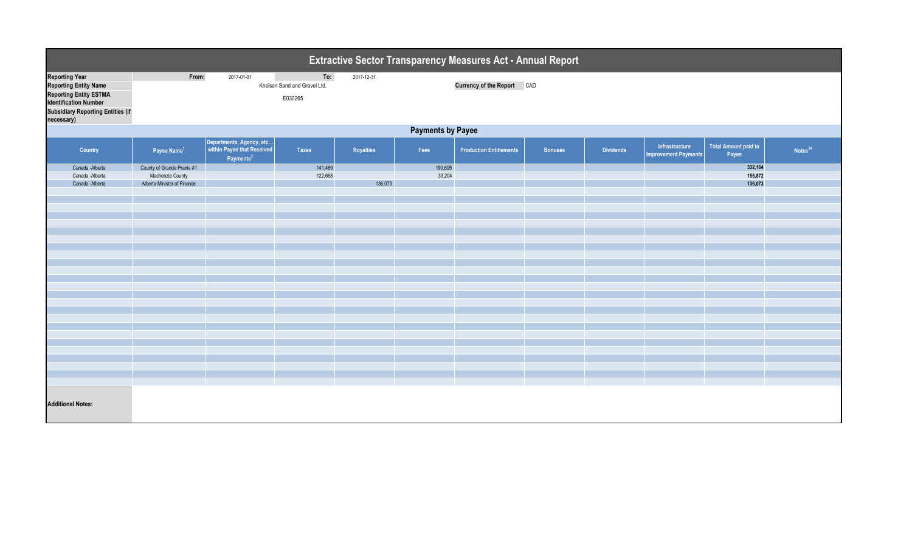| <b>Extractive Sector Transparency Measures Act - Annual Report</b>                                                                                                        |                                                                                |                                                                                 |                                                |            |                   |                                   |                |                  |                                               |                               |                     |  |
|---------------------------------------------------------------------------------------------------------------------------------------------------------------------------|--------------------------------------------------------------------------------|---------------------------------------------------------------------------------|------------------------------------------------|------------|-------------------|-----------------------------------|----------------|------------------|-----------------------------------------------|-------------------------------|---------------------|--|
| <b>Reporting Year</b><br><b>Reporting Entity Name</b><br>Reporting Entity ESTMA<br><b>Identification Number</b><br><b>Subsidiary Reporting Entities (if</b><br>necessary) | From:                                                                          | 2017-01-01                                                                      | To:<br>Knelsen Sand and Gravel Ltd.<br>E030265 | 2017-12-31 |                   | <b>Currency of the Report CAD</b> |                |                  |                                               |                               |                     |  |
| <b>Payments by Payee</b>                                                                                                                                                  |                                                                                |                                                                                 |                                                |            |                   |                                   |                |                  |                                               |                               |                     |  |
| Country                                                                                                                                                                   | Payee Name <sup>1</sup>                                                        | Departments, Agency, etc<br>within Payee that Received<br>Payments <sup>2</sup> | <b>Taxes</b>                                   | Royalties  | Fees              | <b>Production Entitlements</b>    | <b>Bonuses</b> | <b>Dividends</b> | Infrastructure<br><b>Improvement Payments</b> | Total Amount paid to<br>Payee | Notes <sup>34</sup> |  |
| Canada - Alberta<br>Canada - Alberta<br>Canada - Alberta                                                                                                                  | County of Grande Prairie #1<br>Machenzie County<br>Alberta Minister of Finance |                                                                                 | 141,469<br>122,668                             | 136,073    | 190,695<br>33,204 |                                   |                |                  |                                               | 332,164<br>155,872<br>136,073 |                     |  |
|                                                                                                                                                                           |                                                                                |                                                                                 |                                                |            |                   |                                   |                |                  |                                               |                               |                     |  |
|                                                                                                                                                                           |                                                                                |                                                                                 |                                                |            |                   |                                   |                |                  |                                               |                               |                     |  |
|                                                                                                                                                                           |                                                                                |                                                                                 |                                                |            |                   |                                   |                |                  |                                               |                               |                     |  |
|                                                                                                                                                                           |                                                                                |                                                                                 |                                                |            |                   |                                   |                |                  |                                               |                               |                     |  |
|                                                                                                                                                                           |                                                                                |                                                                                 |                                                |            |                   |                                   |                |                  |                                               |                               |                     |  |
|                                                                                                                                                                           |                                                                                |                                                                                 |                                                |            |                   |                                   |                |                  |                                               |                               |                     |  |
|                                                                                                                                                                           |                                                                                |                                                                                 |                                                |            |                   |                                   |                |                  |                                               |                               |                     |  |
|                                                                                                                                                                           |                                                                                |                                                                                 |                                                |            |                   |                                   |                |                  |                                               |                               |                     |  |
| <b>Additional Notes:</b>                                                                                                                                                  |                                                                                |                                                                                 |                                                |            |                   |                                   |                |                  |                                               |                               |                     |  |